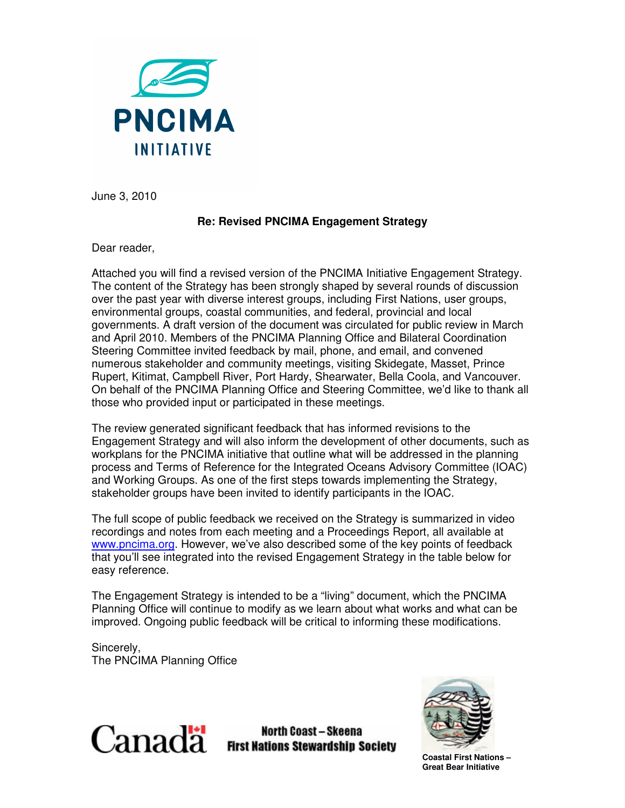

June 3, 2010

## **Re: Revised PNCIMA Engagement Strategy**

Dear reader,

Attached you will find a revised version of the PNCIMA Initiative Engagement Strategy. The content of the Strategy has been strongly shaped by several rounds of discussion over the past year with diverse interest groups, including First Nations, user groups, environmental groups, coastal communities, and federal, provincial and local governments. A draft version of the document was circulated for public review in March and April 2010. Members of the PNCIMA Planning Office and Bilateral Coordination Steering Committee invited feedback by mail, phone, and email, and convened numerous stakeholder and community meetings, visiting Skidegate, Masset, Prince Rupert, Kitimat, Campbell River, Port Hardy, Shearwater, Bella Coola, and Vancouver. On behalf of the PNCIMA Planning Office and Steering Committee, we'd like to thank all those who provided input or participated in these meetings.

The review generated significant feedback that has informed revisions to the Engagement Strategy and will also inform the development of other documents, such as workplans for the PNCIMA initiative that outline what will be addressed in the planning process and Terms of Reference for the Integrated Oceans Advisory Committee (IOAC) and Working Groups. As one of the first steps towards implementing the Strategy, stakeholder groups have been invited to identify participants in the IOAC.

The full scope of public feedback we received on the Strategy is summarized in video recordings and notes from each meeting and a Proceedings Report, all available at www.pncima.org. However, we've also described some of the key points of feedback that you'll see integrated into the revised Engagement Strategy in the table below for easy reference.

The Engagement Strategy is intended to be a "living" document, which the PNCIMA Planning Office will continue to modify as we learn about what works and what can be improved. Ongoing public feedback will be critical to informing these modifications.

Sincerely, The PNCIMA Planning Office



**North Coast - Skeena First Nations Stewardship Society** 



**Coastal First Nations – Great Bear Initiative**